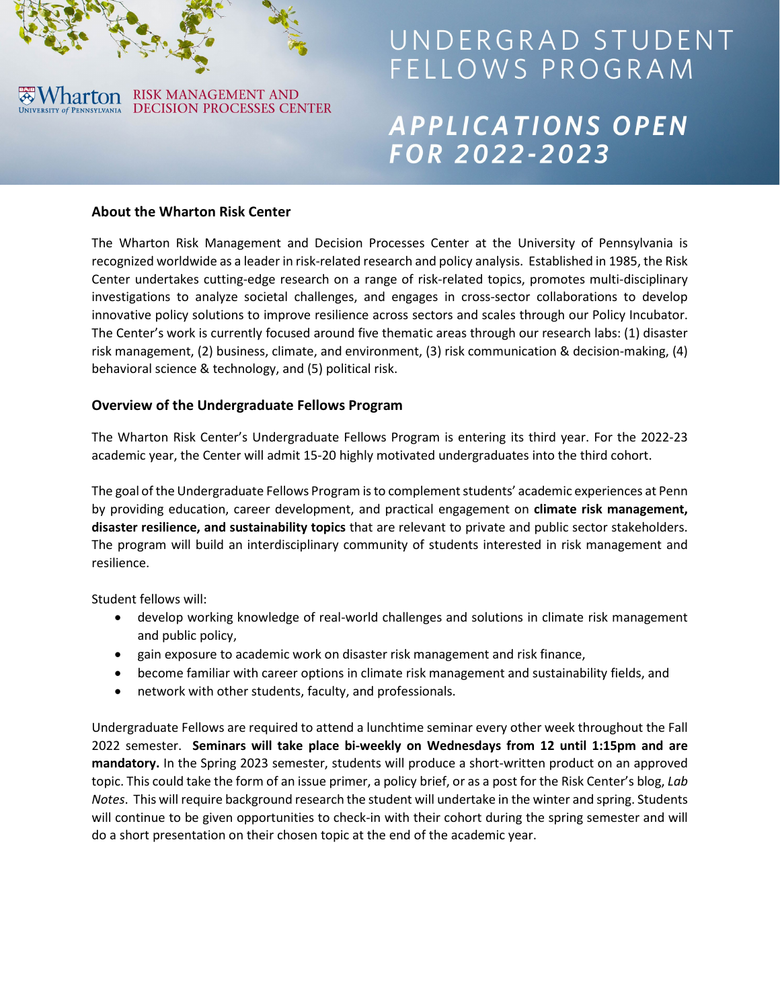

# UNDERGRAD STUDENT FELLOWS PROGRAM

# APPLICATIONS OPEN **FOR 2022-2023**

#### **About the Wharton Risk Center**

The Wharton Risk Management and Decision Processes Center at the University of Pennsylvania is recognized worldwide as a leader in risk-related research and policy analysis. Established in 1985, the Risk Center undertakes cutting-edge research on a range of risk-related topics, promotes multi-disciplinary investigations to analyze societal challenges, and engages in cross-sector collaborations to develop innovative policy solutions to improve resilience across sectors and scales through our Policy Incubator. The Center's work is currently focused around five thematic areas through our research labs: (1) disaster risk management, (2) business, climate, and environment, (3) risk communication & decision-making, (4) behavioral science & technology, and (5) political risk.

# **Overview of the Undergraduate Fellows Program**

The Wharton Risk Center's Undergraduate Fellows Program is entering its third year. For the 2022-23 academic year, the Center will admit 15-20 highly motivated undergraduates into the third cohort.

The goal of the Undergraduate Fellows Program is to complement students' academic experiences at Penn by providing education, career development, and practical engagement on **climate risk management, disaster resilience, and sustainability topics** that are relevant to private and public sector stakeholders. The program will build an interdisciplinary community of students interested in risk management and resilience.

Student fellows will:

- develop working knowledge of real-world challenges and solutions in climate risk management and public policy,
- gain exposure to academic work on disaster risk management and risk finance,
- become familiar with career options in climate risk management and sustainability fields, and
- network with other students, faculty, and professionals.

Undergraduate Fellows are required to attend a lunchtime seminar every other week throughout the Fall 2022 semester. **Seminars will take place bi-weekly on Wednesdays from 12 until 1:15pm and are mandatory.** In the Spring 2023 semester, students will produce a short-written product on an approved topic. This could take the form of an issue primer, a policy brief, or as a post for the Risk Center's blog, *Lab Notes*. This will require background research the student will undertake in the winter and spring. Students will continue to be given opportunities to check-in with their cohort during the spring semester and will do a short presentation on their chosen topic at the end of the academic year.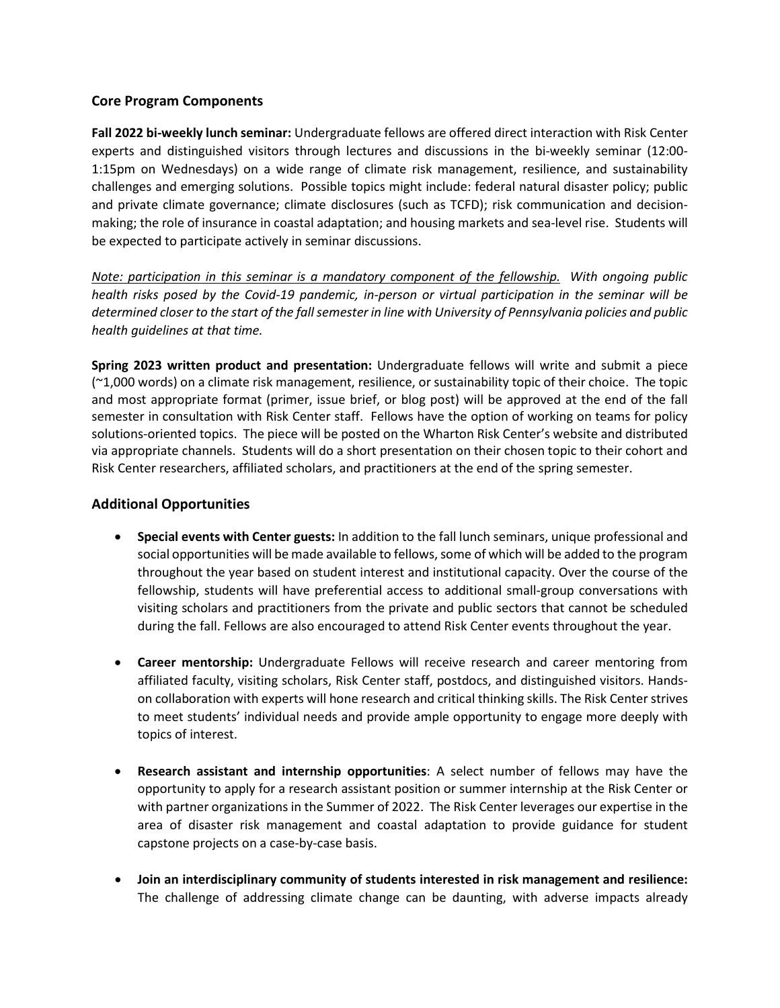# **Core Program Components**

**Fall 2022 bi-weekly lunch seminar:** Undergraduate fellows are offered direct interaction with Risk Center experts and distinguished visitors through lectures and discussions in the bi-weekly seminar (12:00- 1:15pm on Wednesdays) on a wide range of climate risk management, resilience, and sustainability challenges and emerging solutions. Possible topics might include: federal natural disaster policy; public and private climate governance; climate disclosures (such as TCFD); risk communication and decisionmaking; the role of insurance in coastal adaptation; and housing markets and sea-level rise. Students will be expected to participate actively in seminar discussions.

*Note: participation in this seminar is a mandatory component of the fellowship.**With ongoing public health risks posed by the Covid-19 pandemic, in-person or virtual participation in the seminar will be determined closer to the start of the fall semester in line with University of Pennsylvania policies and public health guidelines at that time.* 

**Spring 2023 written product and presentation:** Undergraduate fellows will write and submit a piece (~1,000 words) on a climate risk management, resilience, or sustainability topic of their choice. The topic and most appropriate format (primer, issue brief, or blog post) will be approved at the end of the fall semester in consultation with Risk Center staff. Fellows have the option of working on teams for policy solutions-oriented topics. The piece will be posted on the Wharton Risk Center's website and distributed via appropriate channels. Students will do a short presentation on their chosen topic to their cohort and Risk Center researchers, affiliated scholars, and practitioners at the end of the spring semester.

# **Additional Opportunities**

- **Special events with Center guests:** In addition to the fall lunch seminars, unique professional and social opportunities will be made available to fellows, some of which will be added to the program throughout the year based on student interest and institutional capacity. Over the course of the fellowship, students will have preferential access to additional small-group conversations with visiting scholars and practitioners from the private and public sectors that cannot be scheduled during the fall. Fellows are also encouraged to attend Risk Center events throughout the year.
- **Career mentorship:** Undergraduate Fellows will receive research and career mentoring from affiliated faculty, visiting scholars, Risk Center staff, postdocs, and distinguished visitors. Handson collaboration with experts will hone research and critical thinking skills. The Risk Center strives to meet students' individual needs and provide ample opportunity to engage more deeply with topics of interest.
- **Research assistant and internship opportunities**: A select number of fellows may have the opportunity to apply for a research assistant position or summer internship at the Risk Center or with partner organizations in the Summer of 2022. The Risk Center leverages our expertise in the area of disaster risk management and coastal adaptation to provide guidance for student capstone projects on a case-by-case basis.
- **Join an interdisciplinary community of students interested in risk management and resilience:**  The challenge of addressing climate change can be daunting, with adverse impacts already